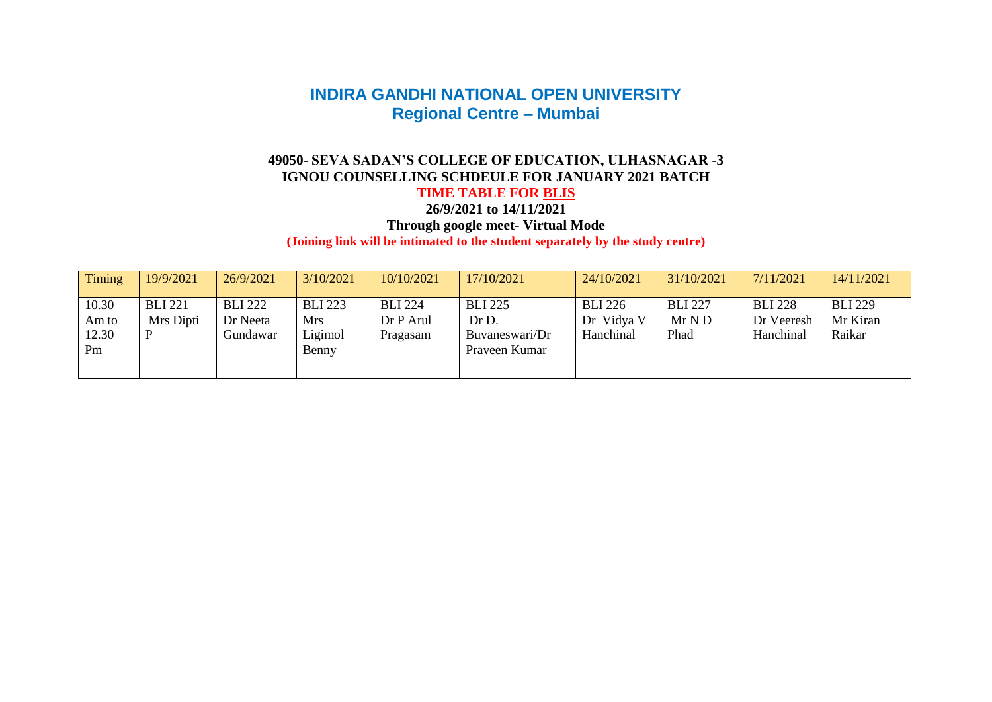# **INDIRA GANDHI NATIONAL OPEN UNIVERSITY Regional Centre – Mumbai**

#### **49050- SEVA SADAN'S COLLEGE OF EDUCATION, ULHASNAGAR -3 IGNOU COUNSELLING SCHDEULE FOR JANUARY 2021 BATCH**

## **TIME TABLE FOR BLIS**

**26/9/2021 to 14/11/2021**

**Through google meet- Virtual Mode**

**(Joining link will be intimated to the student separately by the study centre)**

| <b>Timing</b>                 | 19/9/2021                   | 26/9/2021                              | 3/10/2021                                 | 10/10/2021                              | 17/10/2021                                                 | 24/10/2021                                | 31/10/2021                     | 7/11/2021                                 | 14/11/2021                           |
|-------------------------------|-----------------------------|----------------------------------------|-------------------------------------------|-----------------------------------------|------------------------------------------------------------|-------------------------------------------|--------------------------------|-------------------------------------------|--------------------------------------|
| 10.30<br>Am to<br>12.30<br>Pm | <b>BLI 221</b><br>Mrs Dipti | <b>BLI 222</b><br>Dr Neeta<br>Gundawar | <b>BLI 223</b><br>Mrs<br>Ligimol<br>Benny | <b>BLI 224</b><br>Dr P Arul<br>Pragasam | <b>BLI 225</b><br>Dr D.<br>Buvaneswari/Dr<br>Praveen Kumar | <b>BLI 226</b><br>Dr Vidya V<br>Hanchinal | <b>BLI 227</b><br>MrND<br>Phad | <b>BLI 228</b><br>Dr Veeresh<br>Hanchinal | <b>BLI 229</b><br>Mr Kiran<br>Raikar |